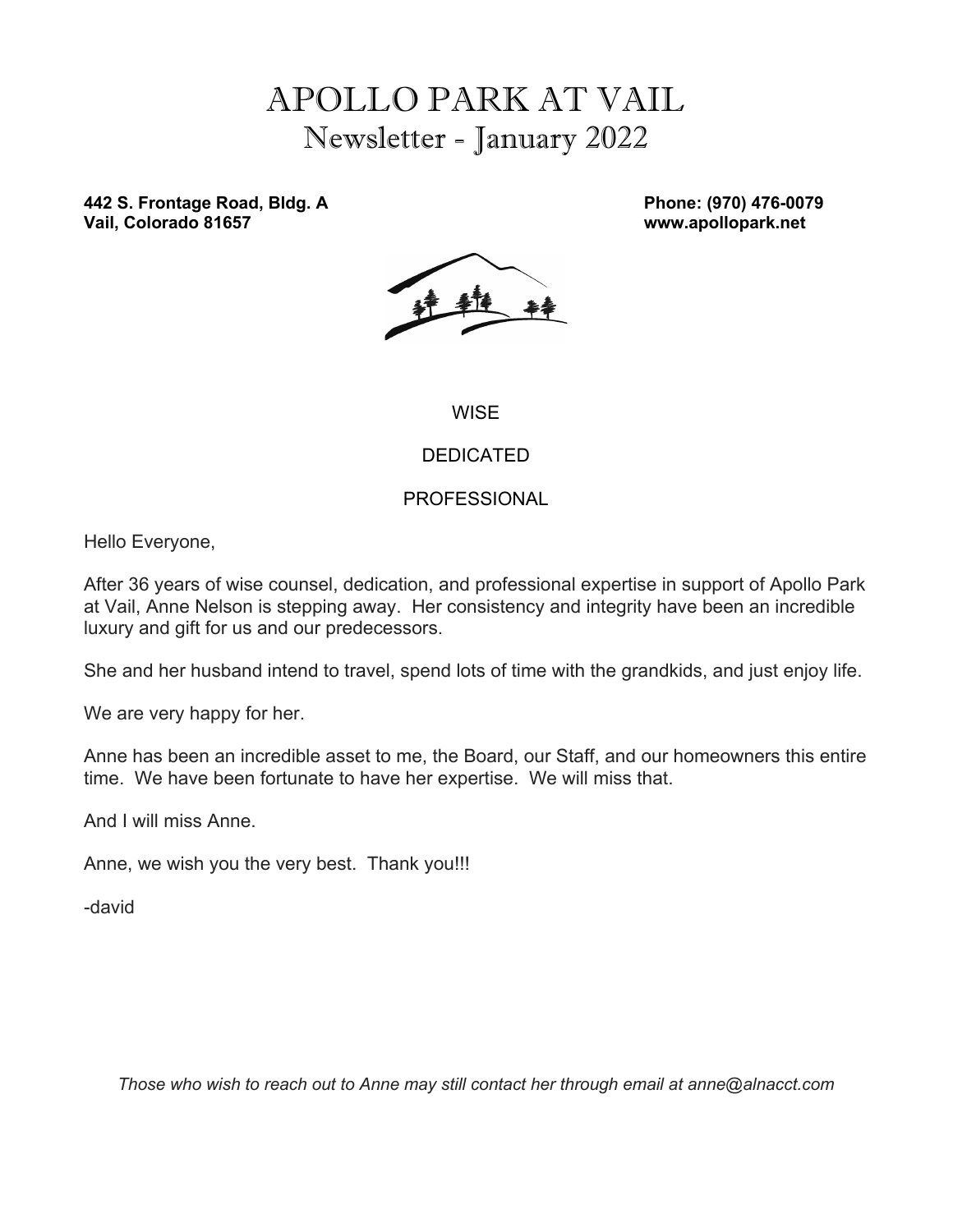# APOLLO PARK AT VAIL Newsletter - January 2022

**442 S. Frontage Road, Bldg. A Phone: (970) 476-0079 Vail, Colorado 81657 www.apollopark.net**



**WISE** 

### DEDICATED

### PROFESSIONAL

Hello Everyone,

After 36 years of wise counsel, dedication, and professional expertise in support of Apollo Park at Vail, Anne Nelson is stepping away. Her consistency and integrity have been an incredible luxury and gift for us and our predecessors.

She and her husband intend to travel, spend lots of time with the grandkids, and just enjoy life.

We are very happy for her.

Anne has been an incredible asset to me, the Board, our Staff, and our homeowners this entire time. We have been fortunate to have her expertise. We will miss that.

And I will miss Anne.

Anne, we wish you the very best. Thank you!!!

-david

*Those who wish to reach out to Anne may still contact her through email at anne@alnacct.com*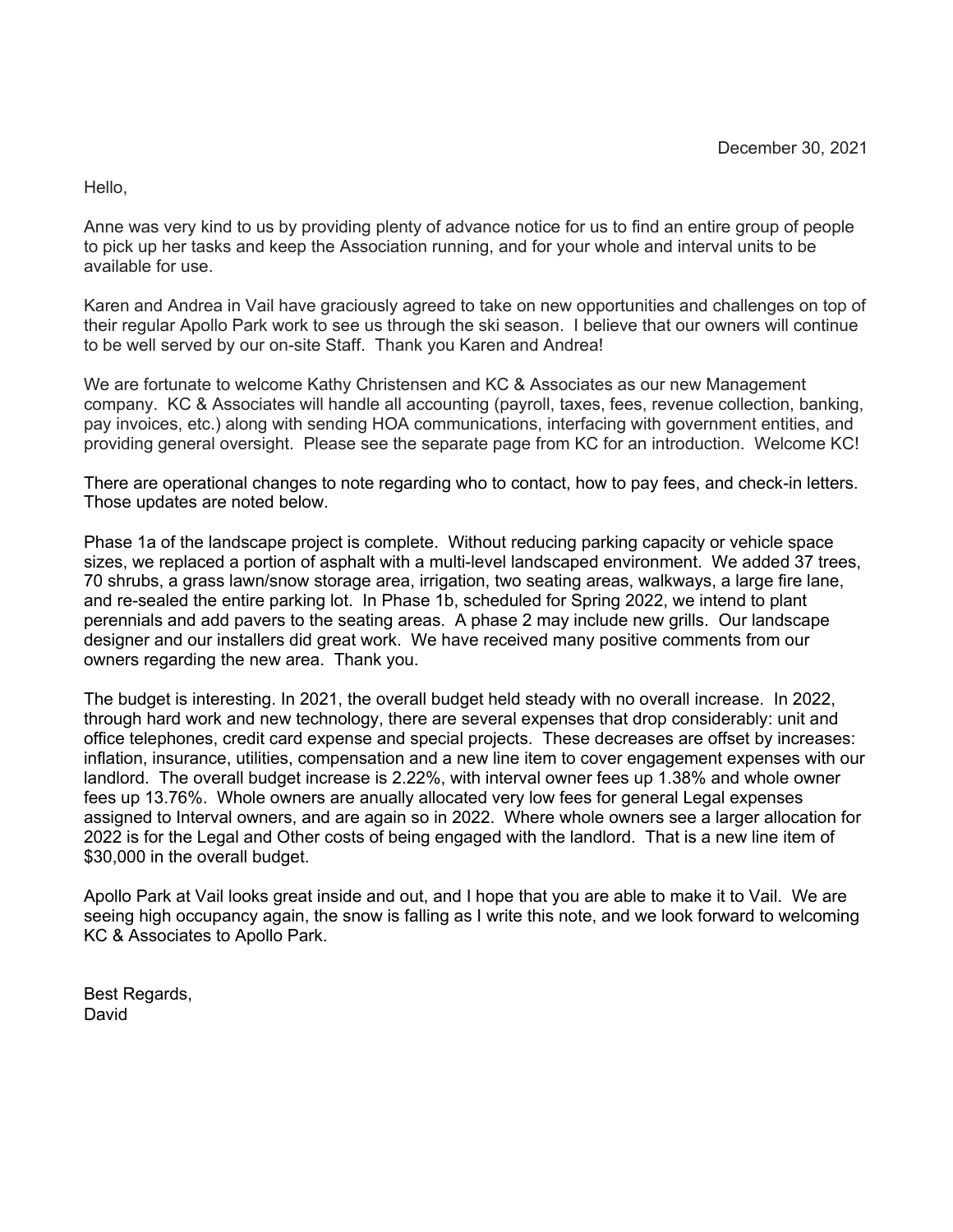Hello,

Anne was very kind to us by providing plenty of advance notice for us to find an entire group of people to pick up her tasks and keep the Association running, and for your whole and interval units to be available for use.

Karen and Andrea in Vail have graciously agreed to take on new opportunities and challenges on top of their regular Apollo Park work to see us through the ski season. I believe that our owners will continue to be well served by our on-site Staff. Thank you Karen and Andrea!

We are fortunate to welcome Kathy Christensen and KC & Associates as our new Management company. KC & Associates will handle all accounting (payroll, taxes, fees, revenue collection, banking, pay invoices, etc.) along with sending HOA communications, interfacing with government entities, and providing general oversight. Please see the separate page from KC for an introduction. Welcome KC!

There are operational changes to note regarding who to contact, how to pay fees, and check-in letters. Those updates are noted below.

Phase 1a of the landscape project is complete. Without reducing parking capacity or vehicle space sizes, we replaced a portion of asphalt with a multi-level landscaped environment. We added 37 trees, 70 shrubs, a grass lawn/snow storage area, irrigation, two seating areas, walkways, a large fire lane, and re-sealed the entire parking lot. In Phase 1b, scheduled for Spring 2022, we intend to plant perennials and add pavers to the seating areas. A phase 2 may include new grills. Our landscape designer and our installers did great work. We have received many positive comments from our owners regarding the new area. Thank you.

The budget is interesting. In 2021, the overall budget held steady with no overall increase. In 2022, through hard work and new technology, there are several expenses that drop considerably: unit and office telephones, credit card expense and special projects. These decreases are offset by increases: inflation, insurance, utilities, compensation and a new line item to cover engagement expenses with our landlord. The overall budget increase is 2.22%, with interval owner fees up 1.38% and whole owner fees up 13.76%. Whole owners are anually allocated very low fees for general Legal expenses assigned to Interval owners, and are again so in 2022. Where whole owners see a larger allocation for 2022 is for the Legal and Other costs of being engaged with the landlord. That is a new line item of \$30,000 in the overall budget.

Apollo Park at Vail looks great inside and out, and I hope that you are able to make it to Vail. We are seeing high occupancy again, the snow is falling as I write this note, and we look forward to welcoming KC & Associates to Apollo Park.

Best Regards, David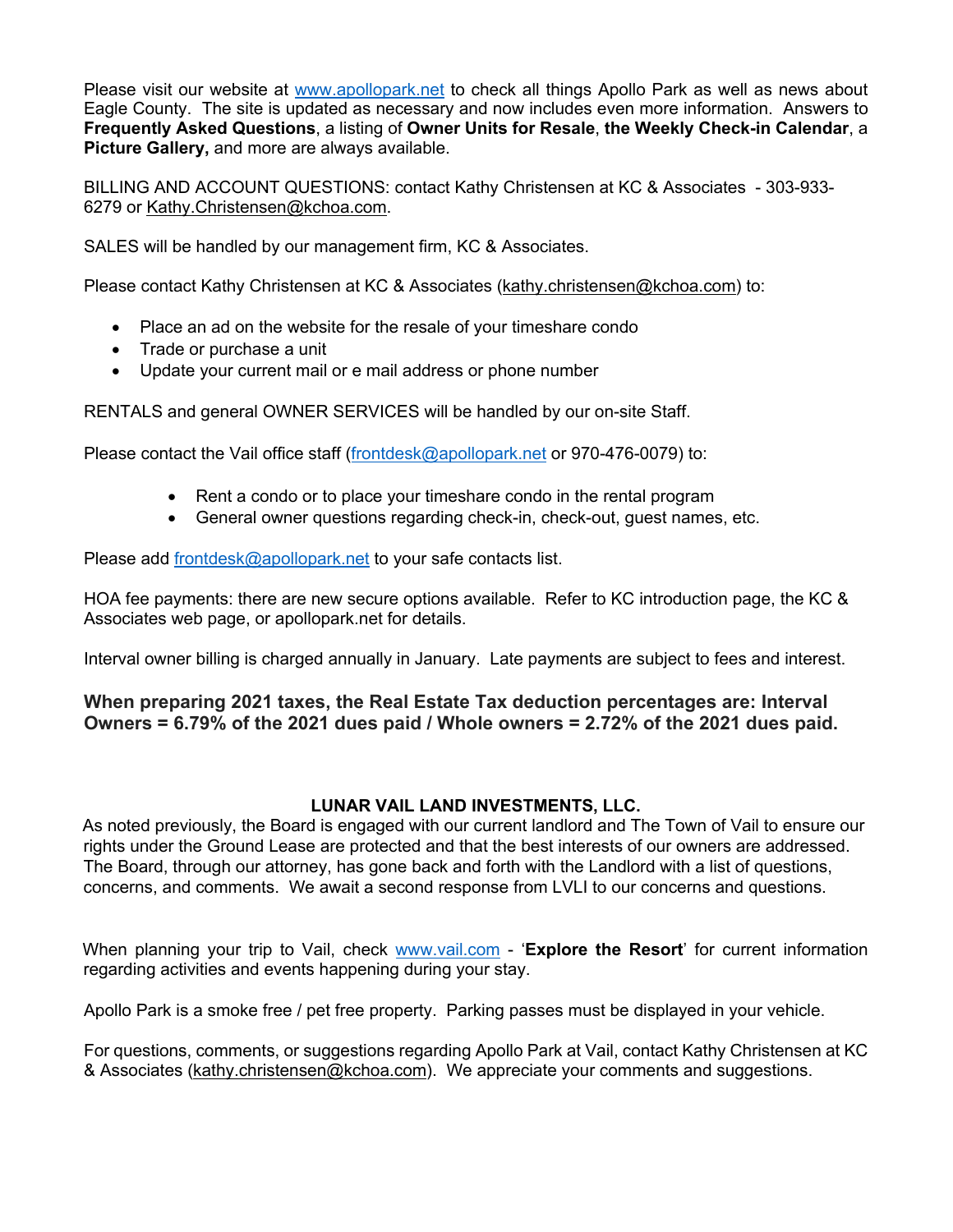Please visit our website at www.apollopark.net to check all things Apollo Park as well as news about Eagle County. The site is updated as necessary and now includes even more information. Answers to **Frequently Asked Questions**, a listing of **Owner Units for Resale**, **the Weekly Check-in Calendar**, a **Picture Gallery,** and more are always available.

BILLING AND ACCOUNT QUESTIONS: contact Kathy Christensen at KC & Associates - 303-933- 6279 or Kathy.Christensen@kchoa.com.

SALES will be handled by our management firm, KC & Associates.

Please contact Kathy Christensen at KC & Associates (kathy.christensen@kchoa.com) to:

- Place an ad on the website for the resale of your timeshare condo
- Trade or purchase a unit
- Update your current mail or e mail address or phone number

RENTALS and general OWNER SERVICES will be handled by our on-site Staff.

Please contact the Vail office staff (frontdesk@apollopark.net or 970-476-0079) to:

- Rent a condo or to place your timeshare condo in the rental program
- General owner questions regarding check-in, check-out, guest names, etc.

Please add frontdesk@apollopark.net to your safe contacts list.

HOA fee payments: there are new secure options available. Refer to KC introduction page, the KC & Associates web page, or apollopark.net for details.

Interval owner billing is charged annually in January. Late payments are subject to fees and interest.

**When preparing 2021 taxes, the Real Estate Tax deduction percentages are: Interval Owners = 6.79% of the 2021 dues paid / Whole owners = 2.72% of the 2021 dues paid.**

#### **LUNAR VAIL LAND INVESTMENTS, LLC.**

As noted previously, the Board is engaged with our current landlord and The Town of Vail to ensure our rights under the Ground Lease are protected and that the best interests of our owners are addressed. The Board, through our attorney, has gone back and forth with the Landlord with a list of questions, concerns, and comments. We await a second response from LVLI to our concerns and questions.

When planning your trip to Vail, check www.vail.com - 'Explore the Resort' for current information regarding activities and events happening during your stay.

Apollo Park is a smoke free / pet free property. Parking passes must be displayed in your vehicle.

For questions, comments, or suggestions regarding Apollo Park at Vail, contact Kathy Christensen at KC & Associates (kathy.christensen@kchoa.com). We appreciate your comments and suggestions.